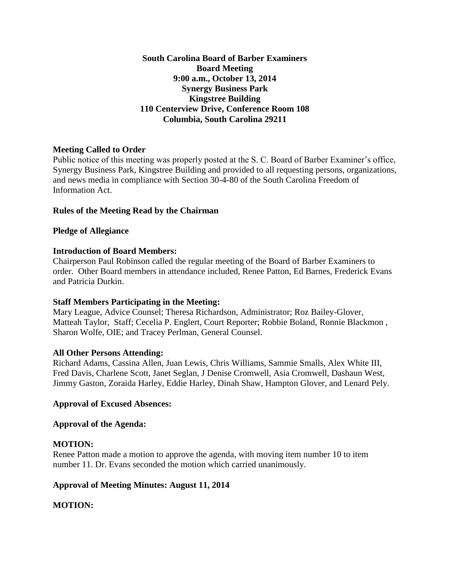**South Carolina Board of Barber Examiners Board Meeting 9:00 a.m., October 13, 2014 Synergy Business Park Kingstree Building 110 Centerview Drive, Conference Room 108 Columbia, South Carolina 29211**

# **Meeting Called to Order**

Public notice of this meeting was properly posted at the S. C. Board of Barber Examiner's office, Synergy Business Park, Kingstree Building and provided to all requesting persons, organizations, and news media in compliance with Section 30-4-80 of the South Carolina Freedom of Information Act.

# **Rules of the Meeting Read by the Chairman**

# **Pledge of Allegiance**

# **Introduction of Board Members:**

Chairperson Paul Robinson called the regular meeting of the Board of Barber Examiners to order. Other Board members in attendance included, Renee Patton, Ed Barnes, Frederick Evans and Patricia Durkin.

### **Staff Members Participating in the Meeting:**

Mary League, Advice Counsel; Theresa Richardson, Administrator; Roz Bailey-Glover, Matteah Taylor, Staff; Cecelia P. Englert, Court Reporter; Robbie Boland, Ronnie Blackmon , Sharon Wolfe, OIE; and Tracey Perlman, General Counsel.

### **All Other Persons Attending:**

Richard Adams, Cassina Allen, Juan Lewis, Chris Williams, Sammie Smalls, Alex White III, Fred Davis, Charlene Scott, Janet Seglan, J Denise Cromwell, Asia Cromwell, Dashaun West, Jimmy Gaston, Zoraida Harley, Eddie Harley, Dinah Shaw, Hampton Glover, and Lenard Pely.

### **Approval of Excused Absences:**

### **Approval of the Agenda:**

### **MOTION:**

Renee Patton made a motion to approve the agenda, with moving item number 10 to item number 11. Dr. Evans seconded the motion which carried unanimously.

# **Approval of Meeting Minutes: August 11, 2014**

# **MOTION:**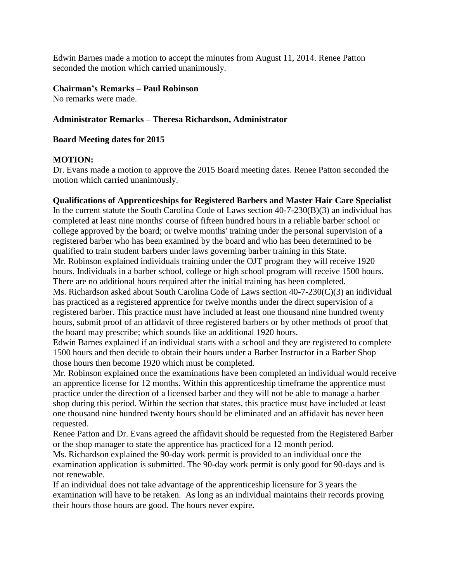Edwin Barnes made a motion to accept the minutes from August 11, 2014. Renee Patton seconded the motion which carried unanimously.

### **Chairman's Remarks – Paul Robinson**

No remarks were made.

### **Administrator Remarks – Theresa Richardson, Administrator**

### **Board Meeting dates for 2015**

### **MOTION:**

Dr. Evans made a motion to approve the 2015 Board meeting dates. Renee Patton seconded the motion which carried unanimously.

### **Qualifications of Apprenticeships for Registered Barbers and Master Hair Care Specialist**

In the current statute the South Carolina Code of Laws section 40-7-230(B)(3) an individual has completed at least nine months' course of fifteen hundred hours in a reliable barber school or college approved by the board; or twelve months' training under the personal supervision of a registered barber who has been examined by the board and who has been determined to be qualified to train student barbers under laws governing barber training in this State. Mr. Robinson explained individuals training under the OJT program they will receive 1920 hours. Individuals in a barber school, college or high school program will receive 1500 hours. There are no additional hours required after the initial training has been completed.

Ms. Richardson asked about South Carolina Code of Laws section 40-7-230(C)(3) an individual has practiced as a registered apprentice for twelve months under the direct supervision of a registered barber. This practice must have included at least one thousand nine hundred twenty hours, submit proof of an affidavit of three registered barbers or by other methods of proof that the board may prescribe; which sounds like an additional 1920 hours.

Edwin Barnes explained if an individual starts with a school and they are registered to complete 1500 hours and then decide to obtain their hours under a Barber Instructor in a Barber Shop those hours then become 1920 which must be completed.

Mr. Robinson explained once the examinations have been completed an individual would receive an apprentice license for 12 months. Within this apprenticeship timeframe the apprentice must practice under the direction of a licensed barber and they will not be able to manage a barber shop during this period. Within the section that states, this practice must have included at least one thousand nine hundred twenty hours should be eliminated and an affidavit has never been requested.

Renee Patton and Dr. Evans agreed the affidavit should be requested from the Registered Barber or the shop manager to state the apprentice has practiced for a 12 month period.

Ms. Richardson explained the 90-day work permit is provided to an individual once the examination application is submitted. The 90-day work permit is only good for 90-days and is not renewable.

If an individual does not take advantage of the apprenticeship licensure for 3 years the examination will have to be retaken. As long as an individual maintains their records proving their hours those hours are good. The hours never expire.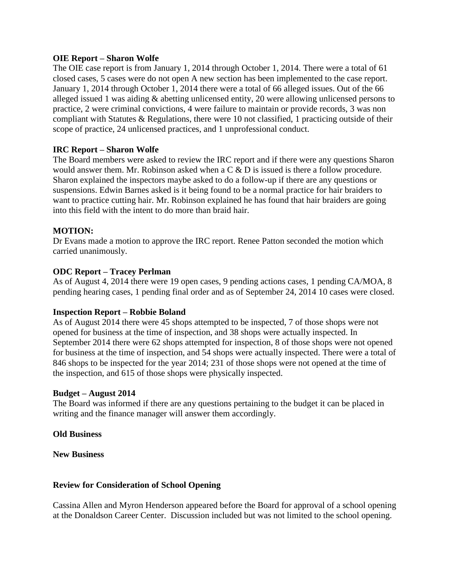### **OIE Report – Sharon Wolfe**

The OIE case report is from January 1, 2014 through October 1, 2014. There were a total of 61 closed cases, 5 cases were do not open A new section has been implemented to the case report. January 1, 2014 through October 1, 2014 there were a total of 66 alleged issues. Out of the 66 alleged issued 1 was aiding & abetting unlicensed entity, 20 were allowing unlicensed persons to practice, 2 were criminal convictions, 4 were failure to maintain or provide records, 3 was non compliant with Statutes  $\&$  Regulations, there were 10 not classified, 1 practicing outside of their scope of practice, 24 unlicensed practices, and 1 unprofessional conduct.

### **IRC Report – Sharon Wolfe**

The Board members were asked to review the IRC report and if there were any questions Sharon would answer them. Mr. Robinson asked when a C & D is issued is there a follow procedure. Sharon explained the inspectors maybe asked to do a follow-up if there are any questions or suspensions. Edwin Barnes asked is it being found to be a normal practice for hair braiders to want to practice cutting hair. Mr. Robinson explained he has found that hair braiders are going into this field with the intent to do more than braid hair.

### **MOTION:**

Dr Evans made a motion to approve the IRC report. Renee Patton seconded the motion which carried unanimously.

### **ODC Report – Tracey Perlman**

As of August 4, 2014 there were 19 open cases, 9 pending actions cases, 1 pending CA/MOA, 8 pending hearing cases, 1 pending final order and as of September 24, 2014 10 cases were closed.

### **Inspection Report – Robbie Boland**

As of August 2014 there were 45 shops attempted to be inspected, 7 of those shops were not opened for business at the time of inspection, and 38 shops were actually inspected. In September 2014 there were 62 shops attempted for inspection, 8 of those shops were not opened for business at the time of inspection, and 54 shops were actually inspected. There were a total of 846 shops to be inspected for the year 2014; 231 of those shops were not opened at the time of the inspection, and 615 of those shops were physically inspected.

### **Budget – August 2014**

The Board was informed if there are any questions pertaining to the budget it can be placed in writing and the finance manager will answer them accordingly.

### **Old Business**

**New Business**

### **Review for Consideration of School Opening**

Cassina Allen and Myron Henderson appeared before the Board for approval of a school opening at the Donaldson Career Center. Discussion included but was not limited to the school opening.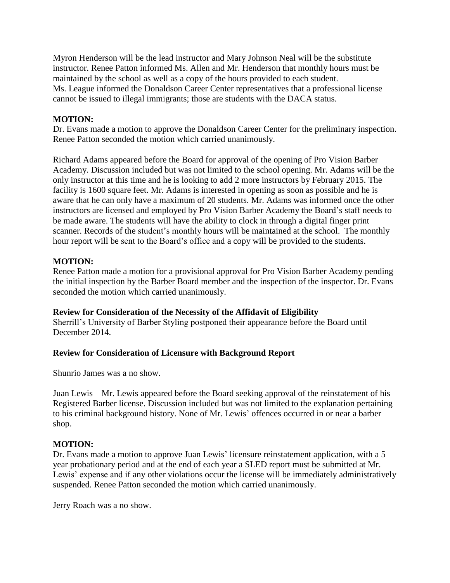Myron Henderson will be the lead instructor and Mary Johnson Neal will be the substitute instructor. Renee Patton informed Ms. Allen and Mr. Henderson that monthly hours must be maintained by the school as well as a copy of the hours provided to each student. Ms. League informed the Donaldson Career Center representatives that a professional license cannot be issued to illegal immigrants; those are students with the DACA status.

# **MOTION:**

Dr. Evans made a motion to approve the Donaldson Career Center for the preliminary inspection. Renee Patton seconded the motion which carried unanimously.

Richard Adams appeared before the Board for approval of the opening of Pro Vision Barber Academy. Discussion included but was not limited to the school opening. Mr. Adams will be the only instructor at this time and he is looking to add 2 more instructors by February 2015. The facility is 1600 square feet. Mr. Adams is interested in opening as soon as possible and he is aware that he can only have a maximum of 20 students. Mr. Adams was informed once the other instructors are licensed and employed by Pro Vision Barber Academy the Board's staff needs to be made aware. The students will have the ability to clock in through a digital finger print scanner. Records of the student's monthly hours will be maintained at the school. The monthly hour report will be sent to the Board's office and a copy will be provided to the students.

# **MOTION:**

Renee Patton made a motion for a provisional approval for Pro Vision Barber Academy pending the initial inspection by the Barber Board member and the inspection of the inspector. Dr. Evans seconded the motion which carried unanimously.

### **Review for Consideration of the Necessity of the Affidavit of Eligibility**

Sherrill's University of Barber Styling postponed their appearance before the Board until December 2014.

### **Review for Consideration of Licensure with Background Report**

Shunrio James was a no show.

Juan Lewis – Mr. Lewis appeared before the Board seeking approval of the reinstatement of his Registered Barber license. Discussion included but was not limited to the explanation pertaining to his criminal background history. None of Mr. Lewis' offences occurred in or near a barber shop.

### **MOTION:**

Dr. Evans made a motion to approve Juan Lewis' licensure reinstatement application, with a 5 year probationary period and at the end of each year a SLED report must be submitted at Mr. Lewis' expense and if any other violations occur the license will be immediately administratively suspended. Renee Patton seconded the motion which carried unanimously.

Jerry Roach was a no show.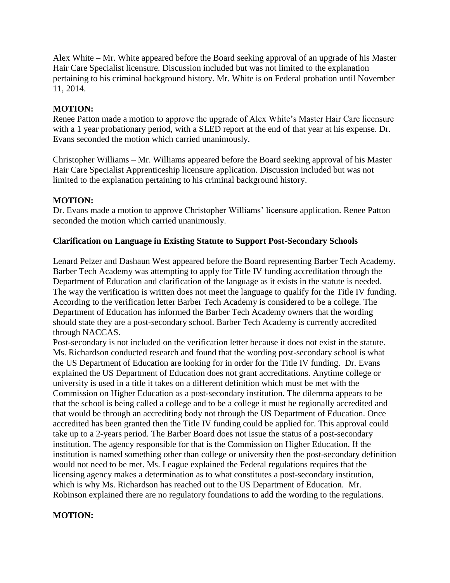Alex White – Mr. White appeared before the Board seeking approval of an upgrade of his Master Hair Care Specialist licensure. Discussion included but was not limited to the explanation pertaining to his criminal background history. Mr. White is on Federal probation until November 11, 2014.

# **MOTION:**

Renee Patton made a motion to approve the upgrade of Alex White's Master Hair Care licensure with a 1 year probationary period, with a SLED report at the end of that year at his expense. Dr. Evans seconded the motion which carried unanimously.

Christopher Williams – Mr. Williams appeared before the Board seeking approval of his Master Hair Care Specialist Apprenticeship licensure application. Discussion included but was not limited to the explanation pertaining to his criminal background history.

# **MOTION:**

Dr. Evans made a motion to approve Christopher Williams' licensure application. Renee Patton seconded the motion which carried unanimously.

# **Clarification on Language in Existing Statute to Support Post-Secondary Schools**

Lenard Pelzer and Dashaun West appeared before the Board representing Barber Tech Academy. Barber Tech Academy was attempting to apply for Title IV funding accreditation through the Department of Education and clarification of the language as it exists in the statute is needed. The way the verification is written does not meet the language to qualify for the Title IV funding. According to the verification letter Barber Tech Academy is considered to be a college. The Department of Education has informed the Barber Tech Academy owners that the wording should state they are a post-secondary school. Barber Tech Academy is currently accredited through NACCAS.

Post-secondary is not included on the verification letter because it does not exist in the statute. Ms. Richardson conducted research and found that the wording post-secondary school is what the US Department of Education are looking for in order for the Title IV funding. Dr. Evans explained the US Department of Education does not grant accreditations. Anytime college or university is used in a title it takes on a different definition which must be met with the Commission on Higher Education as a post-secondary institution. The dilemma appears to be that the school is being called a college and to be a college it must be regionally accredited and that would be through an accrediting body not through the US Department of Education. Once accredited has been granted then the Title IV funding could be applied for. This approval could take up to a 2-years period. The Barber Board does not issue the status of a post-secondary institution. The agency responsible for that is the Commission on Higher Education. If the institution is named something other than college or university then the post-secondary definition would not need to be met. Ms. League explained the Federal regulations requires that the licensing agency makes a determination as to what constitutes a post-secondary institution, which is why Ms. Richardson has reached out to the US Department of Education. Mr. Robinson explained there are no regulatory foundations to add the wording to the regulations.

### **MOTION:**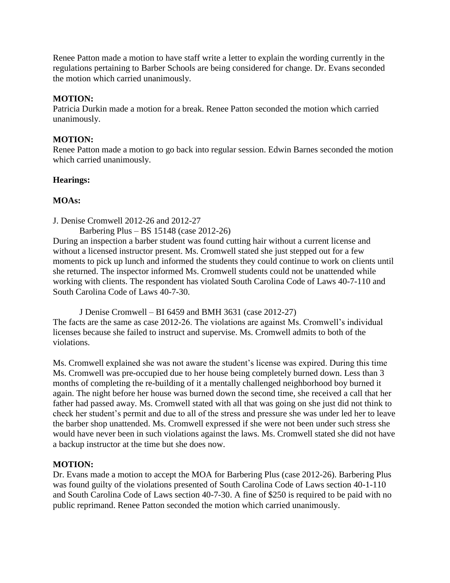Renee Patton made a motion to have staff write a letter to explain the wording currently in the regulations pertaining to Barber Schools are being considered for change. Dr. Evans seconded the motion which carried unanimously.

# **MOTION:**

Patricia Durkin made a motion for a break. Renee Patton seconded the motion which carried unanimously.

# **MOTION:**

Renee Patton made a motion to go back into regular session. Edwin Barnes seconded the motion which carried unanimously.

# **Hearings:**

# **MOAs:**

- J. Denise Cromwell 2012-26 and 2012-27
	- Barbering Plus BS 15148 (case 2012-26)

During an inspection a barber student was found cutting hair without a current license and without a licensed instructor present. Ms. Cromwell stated she just stepped out for a few moments to pick up lunch and informed the students they could continue to work on clients until she returned. The inspector informed Ms. Cromwell students could not be unattended while working with clients. The respondent has violated South Carolina Code of Laws 40-7-110 and South Carolina Code of Laws 40-7-30.

J Denise Cromwell – BI 6459 and BMH 3631 (case 2012-27) The facts are the same as case 2012-26. The violations are against Ms. Cromwell's individual licenses because she failed to instruct and supervise. Ms. Cromwell admits to both of the violations.

Ms. Cromwell explained she was not aware the student's license was expired. During this time Ms. Cromwell was pre-occupied due to her house being completely burned down. Less than 3 months of completing the re-building of it a mentally challenged neighborhood boy burned it again. The night before her house was burned down the second time, she received a call that her father had passed away. Ms. Cromwell stated with all that was going on she just did not think to check her student's permit and due to all of the stress and pressure she was under led her to leave the barber shop unattended. Ms. Cromwell expressed if she were not been under such stress she would have never been in such violations against the laws. Ms. Cromwell stated she did not have a backup instructor at the time but she does now.

### **MOTION:**

Dr. Evans made a motion to accept the MOA for Barbering Plus (case 2012-26). Barbering Plus was found guilty of the violations presented of South Carolina Code of Laws section 40-1-110 and South Carolina Code of Laws section 40-7-30. A fine of \$250 is required to be paid with no public reprimand. Renee Patton seconded the motion which carried unanimously.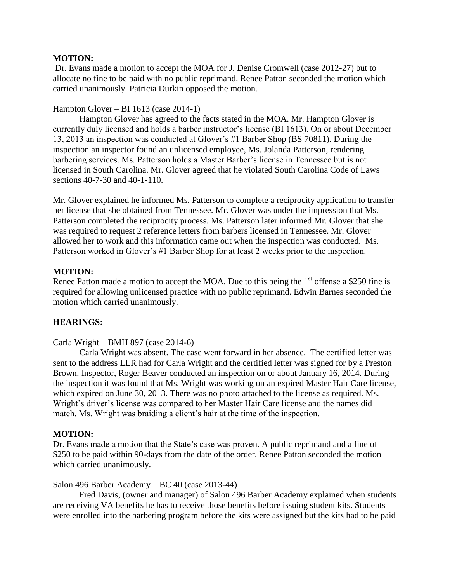### **MOTION:**

Dr. Evans made a motion to accept the MOA for J. Denise Cromwell (case 2012-27) but to allocate no fine to be paid with no public reprimand. Renee Patton seconded the motion which carried unanimously. Patricia Durkin opposed the motion.

### Hampton Glover – BI 1613 (case 2014-1)

Hampton Glover has agreed to the facts stated in the MOA. Mr. Hampton Glover is currently duly licensed and holds a barber instructor's license (BI 1613). On or about December 13, 2013 an inspection was conducted at Glover's #1 Barber Shop (BS 70811). During the inspection an inspector found an unlicensed employee, Ms. Jolanda Patterson, rendering barbering services. Ms. Patterson holds a Master Barber's license in Tennessee but is not licensed in South Carolina. Mr. Glover agreed that he violated South Carolina Code of Laws sections 40-7-30 and 40-1-110.

Mr. Glover explained he informed Ms. Patterson to complete a reciprocity application to transfer her license that she obtained from Tennessee. Mr. Glover was under the impression that Ms. Patterson completed the reciprocity process. Ms. Patterson later informed Mr. Glover that she was required to request 2 reference letters from barbers licensed in Tennessee. Mr. Glover allowed her to work and this information came out when the inspection was conducted. Ms. Patterson worked in Glover's #1 Barber Shop for at least 2 weeks prior to the inspection.

### **MOTION:**

Renee Patton made a motion to accept the MOA. Due to this being the  $1<sup>st</sup>$  offense a \$250 fine is required for allowing unlicensed practice with no public reprimand. Edwin Barnes seconded the motion which carried unanimously.

### **HEARINGS:**

### Carla Wright – BMH 897 (case 2014-6)

Carla Wright was absent. The case went forward in her absence. The certified letter was sent to the address LLR had for Carla Wright and the certified letter was signed for by a Preston Brown. Inspector, Roger Beaver conducted an inspection on or about January 16, 2014. During the inspection it was found that Ms. Wright was working on an expired Master Hair Care license, which expired on June 30, 2013. There was no photo attached to the license as required. Ms. Wright's driver's license was compared to her Master Hair Care license and the names did match. Ms. Wright was braiding a client's hair at the time of the inspection.

### **MOTION:**

Dr. Evans made a motion that the State's case was proven. A public reprimand and a fine of \$250 to be paid within 90-days from the date of the order. Renee Patton seconded the motion which carried unanimously.

#### Salon 496 Barber Academy – BC 40 (case 2013-44)

Fred Davis, (owner and manager) of Salon 496 Barber Academy explained when students are receiving VA benefits he has to receive those benefits before issuing student kits. Students were enrolled into the barbering program before the kits were assigned but the kits had to be paid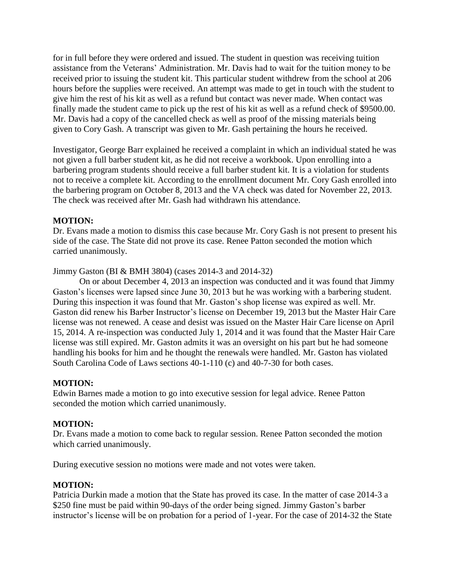for in full before they were ordered and issued. The student in question was receiving tuition assistance from the Veterans' Administration. Mr. Davis had to wait for the tuition money to be received prior to issuing the student kit. This particular student withdrew from the school at 206 hours before the supplies were received. An attempt was made to get in touch with the student to give him the rest of his kit as well as a refund but contact was never made. When contact was finally made the student came to pick up the rest of his kit as well as a refund check of \$9500.00. Mr. Davis had a copy of the cancelled check as well as proof of the missing materials being given to Cory Gash. A transcript was given to Mr. Gash pertaining the hours he received.

Investigator, George Barr explained he received a complaint in which an individual stated he was not given a full barber student kit, as he did not receive a workbook. Upon enrolling into a barbering program students should receive a full barber student kit. It is a violation for students not to receive a complete kit. According to the enrollment document Mr. Cory Gash enrolled into the barbering program on October 8, 2013 and the VA check was dated for November 22, 2013. The check was received after Mr. Gash had withdrawn his attendance.

# **MOTION:**

Dr. Evans made a motion to dismiss this case because Mr. Cory Gash is not present to present his side of the case. The State did not prove its case. Renee Patton seconded the motion which carried unanimously.

Jimmy Gaston (BI & BMH 3804) (cases 2014-3 and 2014-32)

On or about December 4, 2013 an inspection was conducted and it was found that Jimmy Gaston's licenses were lapsed since June 30, 2013 but he was working with a barbering student. During this inspection it was found that Mr. Gaston's shop license was expired as well. Mr. Gaston did renew his Barber Instructor's license on December 19, 2013 but the Master Hair Care license was not renewed. A cease and desist was issued on the Master Hair Care license on April 15, 2014. A re-inspection was conducted July 1, 2014 and it was found that the Master Hair Care license was still expired. Mr. Gaston admits it was an oversight on his part but he had someone handling his books for him and he thought the renewals were handled. Mr. Gaston has violated South Carolina Code of Laws sections 40-1-110 (c) and 40-7-30 for both cases.

### **MOTION:**

Edwin Barnes made a motion to go into executive session for legal advice. Renee Patton seconded the motion which carried unanimously.

### **MOTION:**

Dr. Evans made a motion to come back to regular session. Renee Patton seconded the motion which carried unanimously.

During executive session no motions were made and not votes were taken.

### **MOTION:**

Patricia Durkin made a motion that the State has proved its case. In the matter of case 2014-3 a \$250 fine must be paid within 90-days of the order being signed. Jimmy Gaston's barber instructor's license will be on probation for a period of 1-year. For the case of 2014-32 the State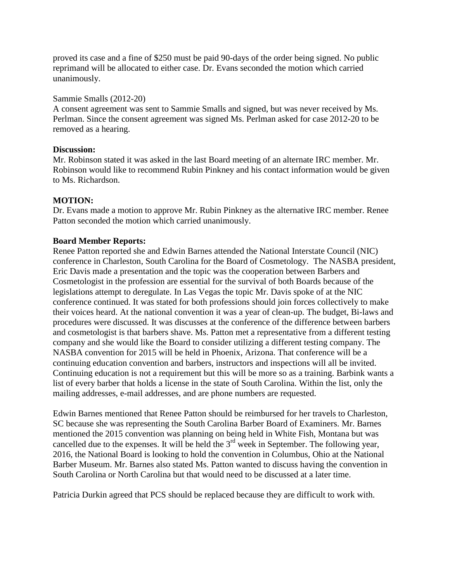proved its case and a fine of \$250 must be paid 90-days of the order being signed. No public reprimand will be allocated to either case. Dr. Evans seconded the motion which carried unanimously.

### Sammie Smalls (2012-20)

A consent agreement was sent to Sammie Smalls and signed, but was never received by Ms. Perlman. Since the consent agreement was signed Ms. Perlman asked for case 2012-20 to be removed as a hearing.

### **Discussion:**

Mr. Robinson stated it was asked in the last Board meeting of an alternate IRC member. Mr. Robinson would like to recommend Rubin Pinkney and his contact information would be given to Ms. Richardson.

# **MOTION:**

Dr. Evans made a motion to approve Mr. Rubin Pinkney as the alternative IRC member. Renee Patton seconded the motion which carried unanimously.

# **Board Member Reports:**

Renee Patton reported she and Edwin Barnes attended the National Interstate Council (NIC) conference in Charleston, South Carolina for the Board of Cosmetology. The NASBA president, Eric Davis made a presentation and the topic was the cooperation between Barbers and Cosmetologist in the profession are essential for the survival of both Boards because of the legislations attempt to deregulate. In Las Vegas the topic Mr. Davis spoke of at the NIC conference continued. It was stated for both professions should join forces collectively to make their voices heard. At the national convention it was a year of clean-up. The budget, Bi-laws and procedures were discussed. It was discusses at the conference of the difference between barbers and cosmetologist is that barbers shave. Ms. Patton met a representative from a different testing company and she would like the Board to consider utilizing a different testing company. The NASBA convention for 2015 will be held in Phoenix, Arizona. That conference will be a continuing education convention and barbers, instructors and inspections will all be invited. Continuing education is not a requirement but this will be more so as a training. Barbink wants a list of every barber that holds a license in the state of South Carolina. Within the list, only the mailing addresses, e-mail addresses, and are phone numbers are requested.

Edwin Barnes mentioned that Renee Patton should be reimbursed for her travels to Charleston, SC because she was representing the South Carolina Barber Board of Examiners. Mr. Barnes mentioned the 2015 convention was planning on being held in White Fish, Montana but was cancelled due to the expenses. It will be held the 3<sup>rd</sup> week in September. The following year, 2016, the National Board is looking to hold the convention in Columbus, Ohio at the National Barber Museum. Mr. Barnes also stated Ms. Patton wanted to discuss having the convention in South Carolina or North Carolina but that would need to be discussed at a later time.

Patricia Durkin agreed that PCS should be replaced because they are difficult to work with.